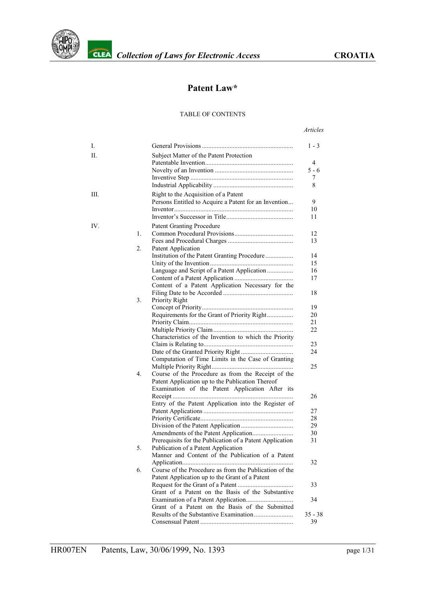

## **Patent Law\***

#### TABLE OF CONTENTS

#### *Articles*

| Ι.  |    |                                                          | $1 - 3$   |
|-----|----|----------------------------------------------------------|-----------|
| П.  |    | Subject Matter of the Patent Protection                  |           |
|     |    |                                                          | 4         |
|     |    |                                                          | $5 - 6$   |
|     |    |                                                          | 7         |
|     |    |                                                          | 8         |
| Ш.  |    | Right to the Acquisition of a Patent                     |           |
|     |    | Persons Entitled to Acquire a Patent for an Invention    | 9         |
|     |    |                                                          | 10        |
|     |    |                                                          | 11        |
| IV. |    | <b>Patent Granting Procedure</b>                         |           |
|     | 1. |                                                          | 12        |
|     |    |                                                          | 13        |
|     | 2. | Patent Application                                       |           |
|     |    | Institution of the Patent Granting Procedure             | 14        |
|     |    |                                                          | 15        |
|     |    | Language and Script of a Patent Application              | 16        |
|     |    |                                                          | 17        |
|     |    | Content of a Patent Application Necessary for the        |           |
|     |    |                                                          | 18        |
|     | 3. | Priority Right                                           |           |
|     |    |                                                          | 19        |
|     |    | Requirements for the Grant of Priority Right             | 20        |
|     |    |                                                          | 21        |
|     |    |                                                          | 22        |
|     |    | Characteristics of the Invention to which the Priority   |           |
|     |    |                                                          | 23        |
|     |    |                                                          | 24        |
|     |    | Computation of Time Limits in the Case of Granting       |           |
|     |    |                                                          | 25        |
|     | 4. | Course of the Procedure as from the Receipt of the       |           |
|     |    | Patent Application up to the Publication Thereof         |           |
|     |    | Examination of the Patent Application After its          |           |
|     |    |                                                          | 26        |
|     |    | Entry of the Patent Application into the Register of     |           |
|     |    |                                                          | 27        |
|     |    |                                                          | 28        |
|     |    |                                                          | 29        |
|     |    |                                                          | 30        |
|     |    | Prerequisits for the Publication of a Patent Application | 31        |
|     | 5. | Publication of a Patent Application                      |           |
|     |    | Manner and Content of the Publication of a Patent        |           |
|     |    | Course of the Procedure as from the Publication of the   | 32        |
|     | 6. |                                                          |           |
|     |    | Patent Application up to the Grant of a Patent           |           |
|     |    |                                                          | 33        |
|     |    | Grant of a Patent on the Basis of the Substantive        |           |
|     |    |                                                          | 34        |
|     |    | Grant of a Patent on the Basis of the Submitted          | $35 - 38$ |
|     |    |                                                          | 39        |
|     |    |                                                          |           |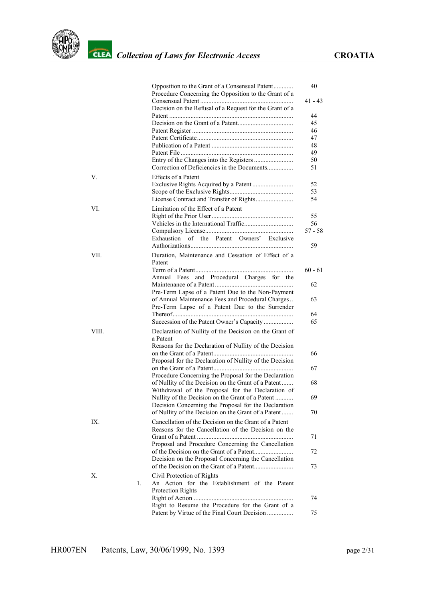

|       |    | Opposition to the Grant of a Consensual Patent<br>Procedure Concerning the Opposition to the Grant of a | 40        |
|-------|----|---------------------------------------------------------------------------------------------------------|-----------|
|       |    |                                                                                                         | $41 - 43$ |
|       |    | Decision on the Refusal of a Request for the Grant of a                                                 | 44        |
|       |    |                                                                                                         | 45        |
|       |    |                                                                                                         | 46        |
|       |    |                                                                                                         | 47        |
|       |    |                                                                                                         | 48        |
|       |    |                                                                                                         | 49        |
|       |    | Correction of Deficiencies in the Documents                                                             | 50<br>51  |
| V.    |    | <b>Effects of a Patent</b>                                                                              |           |
|       |    |                                                                                                         | 52        |
|       |    |                                                                                                         | 53        |
|       |    |                                                                                                         | 54        |
| VI.   |    | Limitation of the Effect of a Patent                                                                    |           |
|       |    |                                                                                                         | 55<br>56  |
|       |    |                                                                                                         | $57 - 58$ |
|       |    | Exhaustion of the Patent Owners' Exclusive                                                              |           |
|       |    |                                                                                                         | 59        |
| VII.  |    | Duration, Maintenance and Cessation of Effect of a<br>Patent                                            |           |
|       |    |                                                                                                         | $60 - 61$ |
|       |    | Annual Fees and Procedural Charges for the                                                              |           |
|       |    |                                                                                                         | 62        |
|       |    | Pre-Term Lapse of a Patent Due to the Non-Payment                                                       |           |
|       |    | of Annual Maintenance Fees and Procedural Charges                                                       | 63        |
|       |    | Pre-Term Lapse of a Patent Due to the Surrender                                                         |           |
|       |    | Succession of the Patent Owner's Capacity                                                               | 64<br>65  |
|       |    |                                                                                                         |           |
| VIII. |    | Declaration of Nullity of the Decision on the Grant of<br>a Patent                                      |           |
|       |    | Reasons for the Declaration of Nullity of the Decision                                                  |           |
|       |    |                                                                                                         | 66        |
|       |    | Proposal for the Declaration of Nullity of the Decision                                                 |           |
|       |    | Procedure Concerning the Proposal for the Declaration                                                   | 67        |
|       |    | of Nullity of the Decision on the Grant of a Patent                                                     | 68        |
|       |    | Withdrawal of the Proposal for the Declaration of                                                       |           |
|       |    | Nullity of the Decision on the Grant of a Patent                                                        | 69        |
|       |    | Decision Concerning the Proposal for the Declaration                                                    |           |
|       |    | of Nullity of the Decision on the Grant of a Patent                                                     | 70        |
| IX.   |    | Cancellation of the Decision on the Grant of a Patent                                                   |           |
|       |    | Reasons for the Cancellation of the Decision on the                                                     |           |
|       |    |                                                                                                         | 71        |
|       |    | Proposal and Procedure Concerning the Cancellation                                                      |           |
|       |    | Decision on the Proposal Concerning the Cancellation                                                    | 72        |
|       |    |                                                                                                         | 73        |
| Х.    |    | Civil Protection of Rights                                                                              |           |
|       | 1. | An Action for the Establishment of the Patent                                                           |           |
|       |    | Protection Rights                                                                                       |           |
|       |    |                                                                                                         | 74        |
|       |    | Right to Resume the Procedure for the Grant of a                                                        |           |
|       |    | Patent by Virtue of the Final Court Decision                                                            | 75        |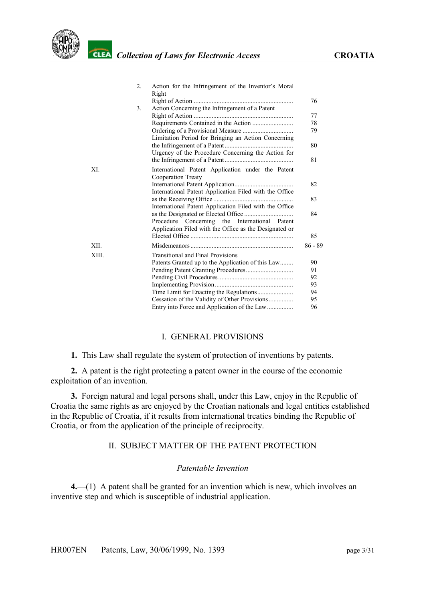

|       | $\overline{2}$ .<br>Action for the Infringement of the Inventor's Moral<br>Right |  |
|-------|----------------------------------------------------------------------------------|--|
|       | 76                                                                               |  |
|       | 3 <sub>1</sub><br>Action Concerning the Infringement of a Patent                 |  |
|       | 77<br>78                                                                         |  |
|       | 79                                                                               |  |
|       | Limitation Period for Bringing an Action Concerning                              |  |
|       | 80                                                                               |  |
|       | Urgency of the Procedure Concerning the Action for                               |  |
|       | 81                                                                               |  |
| XI.   | International Patent Application under the Patent                                |  |
|       | Cooperation Treaty                                                               |  |
|       | 82                                                                               |  |
|       | International Patent Application Filed with the Office                           |  |
|       | 83                                                                               |  |
|       | International Patent Application Filed with the Office<br>84                     |  |
|       | Procedure Concerning the International Patent                                    |  |
|       | Application Filed with the Office as the Designated or                           |  |
|       | 85                                                                               |  |
| XII.  | $86 - 89$                                                                        |  |
|       |                                                                                  |  |
| XIII. | <b>Transitional and Final Provisions</b>                                         |  |
|       | 90<br>Patents Granted up to the Application of this Law                          |  |
|       | 91                                                                               |  |
|       | 92                                                                               |  |
|       | 93                                                                               |  |
|       | 94<br>95                                                                         |  |
|       | Cessation of the Validity of Other Provisions<br>96                              |  |
|       | Entry into Force and Application of the Law                                      |  |

#### I. GENERAL PROVISIONS

<span id="page-2-0"></span>**1.** This Law shall regulate the system of protection of inventions by patents.

**2.** A patent is the right protecting a patent owner in the course of the economic exploitation of an invention.

**3.** Foreign natural and legal persons shall, under this Law, enjoy in the Republic of Croatia the same rights as are enjoyed by the Croatian nationals and legal entities established in the Republic of Croatia, if it results from international treaties binding the Republic of Croatia, or from the application of the principle of reciprocity.

#### II. SUBJECT MATTER OF THE PATENT PROTECTION

#### *Patentable Invention*

<span id="page-2-1"></span>**4.**—(1) A patent shall be granted for an invention which is new, which involves an inventive step and which is susceptible of industrial application.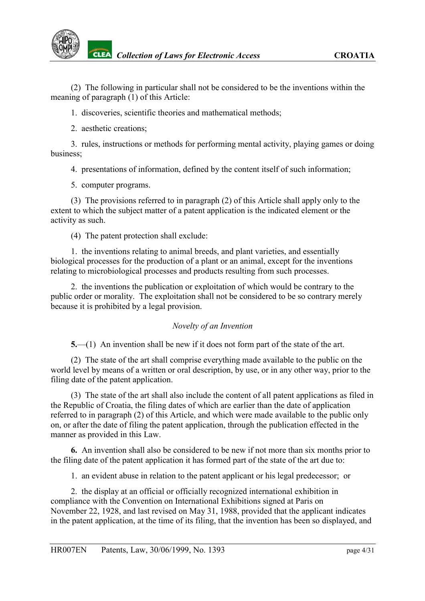(2) The following in particular shall not be considered to be the inventions within the meaning of paragraph (1) of this Article:

1. discoveries, scientific theories and mathematical methods;

2. aesthetic creations;

3. rules, instructions or methods for performing mental activity, playing games or doing business;

4. presentations of information, defined by the content itself of such information;

5. computer programs.

(3) The provisions referred to in paragraph (2) of this Article shall apply only to the extent to which the subject matter of a patent application is the indicated element or the activity as such.

(4) The patent protection shall exclude:

1. the inventions relating to animal breeds, and plant varieties, and essentially biological processes for the production of a plant or an animal, except for the inventions relating to microbiological processes and products resulting from such processes.

2. the inventions the publication or exploitation of which would be contrary to the public order or morality. The exploitation shall not be considered to be so contrary merely because it is prohibited by a legal provision.

### *Novelty of an Invention*

<span id="page-3-0"></span>**5.**—(1) An invention shall be new if it does not form part of the state of the art.

(2) The state of the art shall comprise everything made available to the public on the world level by means of a written or oral description, by use, or in any other way, prior to the filing date of the patent application.

(3) The state of the art shall also include the content of all patent applications as filed in the Republic of Croatia, the filing dates of which are earlier than the date of application referred to in paragraph (2) of this Article, and which were made available to the public only on, or after the date of filing the patent application, through the publication effected in the manner as provided in this Law.

**6.** An invention shall also be considered to be new if not more than six months prior to the filing date of the patent application it has formed part of the state of the art due to:

1. an evident abuse in relation to the patent applicant or his legal predecessor; or

2. the display at an official or officially recognized international exhibition in compliance with the Convention on International Exhibitions signed at Paris on November 22, 1928, and last revised on May 31, 1988, provided that the applicant indicates in the patent application, at the time of its filing, that the invention has been so displayed, and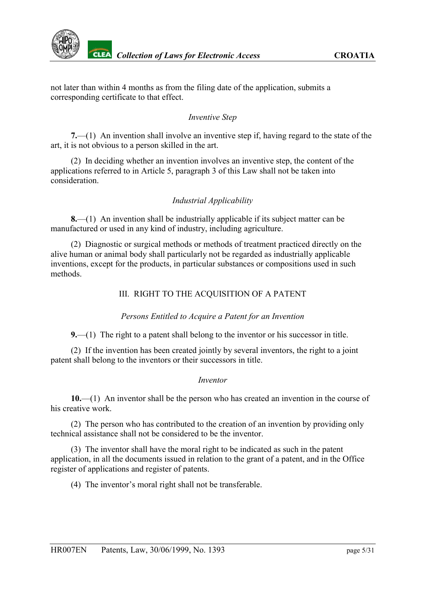

not later than within 4 months as from the filing date of the application, submits a corresponding certificate to that effect.

#### *Inventive Step*

<span id="page-4-0"></span>**7.**—(1) An invention shall involve an inventive step if, having regard to the state of the art, it is not obvious to a person skilled in the art.

(2) In deciding whether an invention involves an inventive step, the content of the applications referred to in Article 5, paragraph 3 of this Law shall not be taken into consideration.

#### *Industrial Applicability*

<span id="page-4-1"></span>**8.**—(1) An invention shall be industrially applicable if its subject matter can be manufactured or used in any kind of industry, including agriculture.

(2) Diagnostic or surgical methods or methods of treatment practiced directly on the alive human or animal body shall particularly not be regarded as industrially applicable inventions, except for the products, in particular substances or compositions used in such methods.

### III. RIGHT TO THE ACQUISITION OF A PATENT

#### *Persons Entitled to Acquire a Patent for an Invention*

<span id="page-4-2"></span>**9.**—(1) The right to a patent shall belong to the inventor or his successor in title.

(2) If the invention has been created jointly by several inventors, the right to a joint patent shall belong to the inventors or their successors in title.

#### *Inventor*

<span id="page-4-3"></span>**10.**—(1) An inventor shall be the person who has created an invention in the course of his creative work.

(2) The person who has contributed to the creation of an invention by providing only technical assistance shall not be considered to be the inventor.

(3) The inventor shall have the moral right to be indicated as such in the patent application, in all the documents issued in relation to the grant of a patent, and in the Office register of applications and register of patents.

(4) The inventor's moral right shall not be transferable.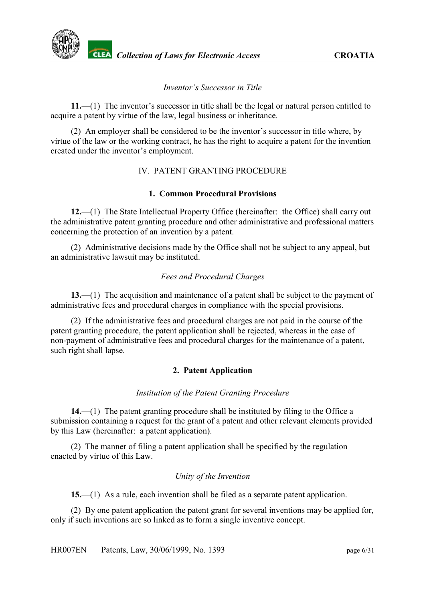*Inventor's Successor in Title*

<span id="page-5-0"></span>**11.**—(1) The inventor's successor in title shall be the legal or natural person entitled to acquire a patent by virtue of the law, legal business or inheritance.

(2) An employer shall be considered to be the inventor's successor in title where, by virtue of the law or the working contract, he has the right to acquire a patent for the invention created under the inventor's employment.

## IV. PATENT GRANTING PROCEDURE

### **1. Common Procedural Provisions**

<span id="page-5-1"></span>**12.**—(1) The State Intellectual Property Office (hereinafter: the Office) shall carry out the administrative patent granting procedure and other administrative and professional matters concerning the protection of an invention by a patent.

(2) Administrative decisions made by the Office shall not be subject to any appeal, but an administrative lawsuit may be instituted.

## *Fees and Procedural Charges*

<span id="page-5-2"></span>**13.**—(1) The acquisition and maintenance of a patent shall be subject to the payment of administrative fees and procedural charges in compliance with the special provisions.

(2) If the administrative fees and procedural charges are not paid in the course of the patent granting procedure, the patent application shall be rejected, whereas in the case of non-payment of administrative fees and procedural charges for the maintenance of a patent, such right shall lapse.

## **2. Patent Application**

### *Institution of the Patent Granting Procedure*

<span id="page-5-3"></span>**14.**—(1) The patent granting procedure shall be instituted by filing to the Office a submission containing a request for the grant of a patent and other relevant elements provided by this Law (hereinafter: a patent application).

(2) The manner of filing a patent application shall be specified by the regulation enacted by virtue of this Law.

### *Unity of the Invention*

<span id="page-5-4"></span>**15.**—(1) As a rule, each invention shall be filed as a separate patent application.

(2) By one patent application the patent grant for several inventions may be applied for, only if such inventions are so linked as to form a single inventive concept.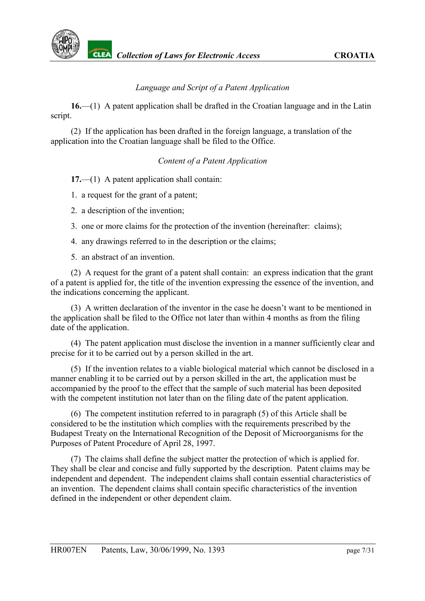

#### *Language and Script of a Patent Application*

<span id="page-6-0"></span>**16.**—(1) A patent application shall be drafted in the Croatian language and in the Latin script.

(2) If the application has been drafted in the foreign language, a translation of the application into the Croatian language shall be filed to the Office.

#### *Content of a Patent Application*

<span id="page-6-1"></span>**17.**—(1) A patent application shall contain:

- 1. a request for the grant of a patent;
- 2. a description of the invention;
- 3. one or more claims for the protection of the invention (hereinafter: claims);
- 4. any drawings referred to in the description or the claims;

5. an abstract of an invention.

(2) A request for the grant of a patent shall contain: an express indication that the grant of a patent is applied for, the title of the invention expressing the essence of the invention, and the indications concerning the applicant.

(3) A written declaration of the inventor in the case he doesn't want to be mentioned in the application shall be filed to the Office not later than within 4 months as from the filing date of the application.

(4) The patent application must disclose the invention in a manner sufficiently clear and precise for it to be carried out by a person skilled in the art.

(5) If the invention relates to a viable biological material which cannot be disclosed in a manner enabling it to be carried out by a person skilled in the art, the application must be accompanied by the proof to the effect that the sample of such material has been deposited with the competent institution not later than on the filing date of the patent application.

(6) The competent institution referred to in paragraph (5) of this Article shall be considered to be the institution which complies with the requirements prescribed by the Budapest Treaty on the International Recognition of the Deposit of Microorganisms for the Purposes of Patent Procedure of April 28, 1997.

(7) The claims shall define the subject matter the protection of which is applied for. They shall be clear and concise and fully supported by the description. Patent claims may be independent and dependent. The independent claims shall contain essential characteristics of an invention. The dependent claims shall contain specific characteristics of the invention defined in the independent or other dependent claim.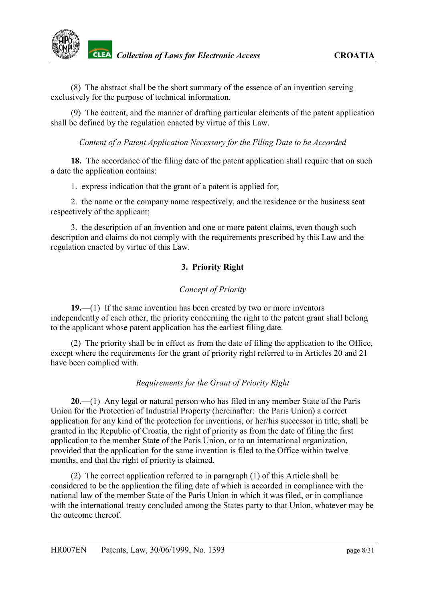(8) The abstract shall be the short summary of the essence of an invention serving exclusively for the purpose of technical information.

(9) The content, and the manner of drafting particular elements of the patent application shall be defined by the regulation enacted by virtue of this Law.

<span id="page-7-0"></span>*Content of a Patent Application Necessary for the Filing Date to be Accorded*

**18.** The accordance of the filing date of the patent application shall require that on such a date the application contains:

1. express indication that the grant of a patent is applied for;

2. the name or the company name respectively, and the residence or the business seat respectively of the applicant;

3. the description of an invention and one or more patent claims, even though such description and claims do not comply with the requirements prescribed by this Law and the regulation enacted by virtue of this Law.

## **3. Priority Right**

### *Concept of Priority*

<span id="page-7-1"></span>**19.**—(1) If the same invention has been created by two or more inventors independently of each other, the priority concerning the right to the patent grant shall belong to the applicant whose patent application has the earliest filing date.

(2) The priority shall be in effect as from the date of filing the application to the Office, except where the requirements for the grant of priority right referred to in Articles 20 and 21 have been complied with.

### *Requirements for the Grant of Priority Right*

<span id="page-7-2"></span>**20.**—(1) Any legal or natural person who has filed in any member State of the Paris Union for the Protection of Industrial Property (hereinafter: the Paris Union) a correct application for any kind of the protection for inventions, or her/his successor in title, shall be granted in the Republic of Croatia, the right of priority as from the date of filing the first application to the member State of the Paris Union, or to an international organization, provided that the application for the same invention is filed to the Office within twelve months, and that the right of priority is claimed.

(2) The correct application referred to in paragraph (1) of this Article shall be considered to be the application the filing date of which is accorded in compliance with the national law of the member State of the Paris Union in which it was filed, or in compliance with the international treaty concluded among the States party to that Union, whatever may be the outcome thereof.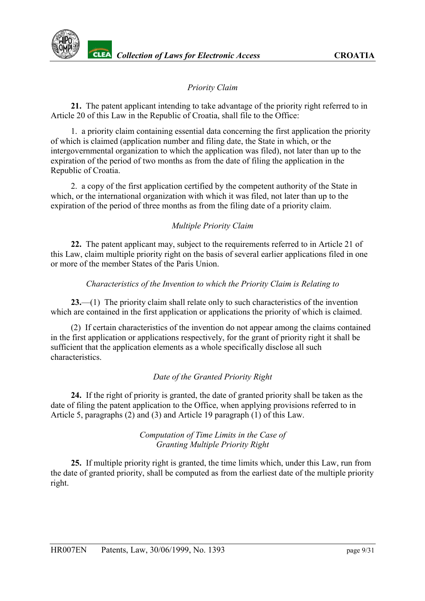### *Priority Claim*

<span id="page-8-0"></span>**21.** The patent applicant intending to take advantage of the priority right referred to in Article 20 of this Law in the Republic of Croatia, shall file to the Office:

1. a priority claim containing essential data concerning the first application the priority of which is claimed (application number and filing date, the State in which, or the intergovernmental organization to which the application was filed), not later than up to the expiration of the period of two months as from the date of filing the application in the Republic of Croatia.

2. a copy of the first application certified by the competent authority of the State in which, or the international organization with which it was filed, not later than up to the expiration of the period of three months as from the filing date of a priority claim.

### *Multiple Priority Claim*

<span id="page-8-1"></span>**22.** The patent applicant may, subject to the requirements referred to in Article 21 of this Law, claim multiple priority right on the basis of several earlier applications filed in one or more of the member States of the Paris Union.

#### *Characteristics of the Invention to which the Priority Claim is Relating to*

<span id="page-8-2"></span>**23.**—(1) The priority claim shall relate only to such characteristics of the invention which are contained in the first application or applications the priority of which is claimed.

(2) If certain characteristics of the invention do not appear among the claims contained in the first application or applications respectively, for the grant of priority right it shall be sufficient that the application elements as a whole specifically disclose all such characteristics.

### *Date of the Granted Priority Right*

<span id="page-8-3"></span>**24.** If the right of priority is granted, the date of granted priority shall be taken as the date of filing the patent application to the Office, when applying provisions referred to in Article 5, paragraphs (2) and (3) and Article 19 paragraph (1) of this Law.

> *Computation of Time Limits in the Case of Granting Multiple Priority Right*

<span id="page-8-4"></span>**25.** If multiple priority right is granted, the time limits which, under this Law, run from the date of granted priority, shall be computed as from the earliest date of the multiple priority right.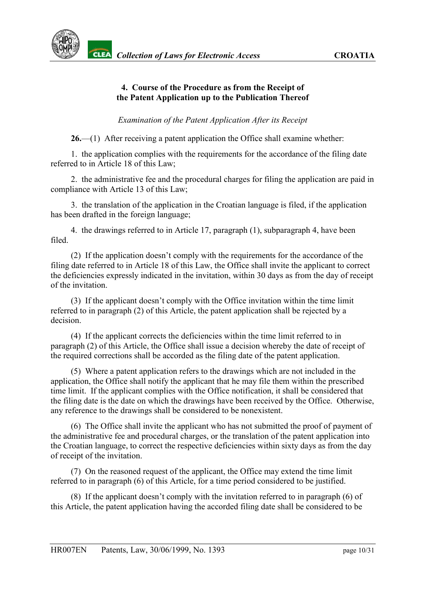### **4. Course of the Procedure as from the Receipt of the Patent Application up to the Publication Thereof**

### *Examination of the Patent Application After its Receipt*

<span id="page-9-0"></span>**26.**—(1) After receiving a patent application the Office shall examine whether:

1. the application complies with the requirements for the accordance of the filing date referred to in Article 18 of this Law;

2. the administrative fee and the procedural charges for filing the application are paid in compliance with Article 13 of this Law;

3. the translation of the application in the Croatian language is filed, if the application has been drafted in the foreign language;

4. the drawings referred to in Article 17, paragraph (1), subparagraph 4, have been filed.

(2) If the application doesn't comply with the requirements for the accordance of the filing date referred to in Article 18 of this Law, the Office shall invite the applicant to correct the deficiencies expressly indicated in the invitation, within 30 days as from the day of receipt of the invitation.

(3) If the applicant doesn't comply with the Office invitation within the time limit referred to in paragraph (2) of this Article, the patent application shall be rejected by a decision.

(4) If the applicant corrects the deficiencies within the time limit referred to in paragraph (2) of this Article, the Office shall issue a decision whereby the date of receipt of the required corrections shall be accorded as the filing date of the patent application.

(5) Where a patent application refers to the drawings which are not included in the application, the Office shall notify the applicant that he may file them within the prescribed time limit. If the applicant complies with the Office notification, it shall be considered that the filing date is the date on which the drawings have been received by the Office. Otherwise, any reference to the drawings shall be considered to be nonexistent.

(6) The Office shall invite the applicant who has not submitted the proof of payment of the administrative fee and procedural charges, or the translation of the patent application into the Croatian language, to correct the respective deficiencies within sixty days as from the day of receipt of the invitation.

(7) On the reasoned request of the applicant, the Office may extend the time limit referred to in paragraph (6) of this Article, for a time period considered to be justified.

(8) If the applicant doesn't comply with the invitation referred to in paragraph (6) of this Article, the patent application having the accorded filing date shall be considered to be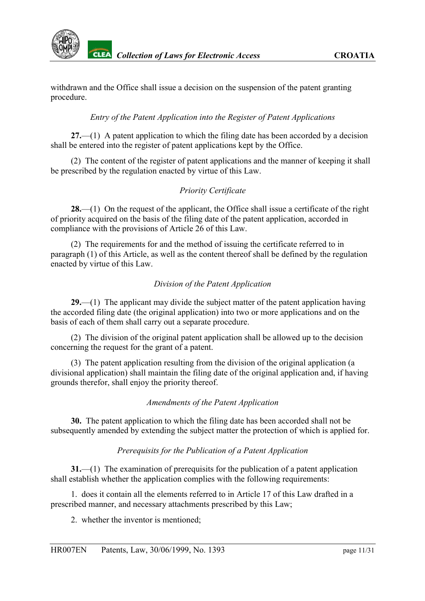

withdrawn and the Office shall issue a decision on the suspension of the patent granting procedure.

#### *Entry of the Patent Application into the Register of Patent Applications*

<span id="page-10-0"></span>**27.**—(1) A patent application to which the filing date has been accorded by a decision shall be entered into the register of patent applications kept by the Office.

(2) The content of the register of patent applications and the manner of keeping it shall be prescribed by the regulation enacted by virtue of this Law.

### *Priority Certificate*

<span id="page-10-1"></span>**28.**—(1) On the request of the applicant, the Office shall issue a certificate of the right of priority acquired on the basis of the filing date of the patent application, accorded in compliance with the provisions of Article 26 of this Law.

(2) The requirements for and the method of issuing the certificate referred to in paragraph (1) of this Article, as well as the content thereof shall be defined by the regulation enacted by virtue of this Law.

### *Division of the Patent Application*

<span id="page-10-2"></span>**29.**—(1) The applicant may divide the subject matter of the patent application having the accorded filing date (the original application) into two or more applications and on the basis of each of them shall carry out a separate procedure.

(2) The division of the original patent application shall be allowed up to the decision concerning the request for the grant of a patent.

(3) The patent application resulting from the division of the original application (a divisional application) shall maintain the filing date of the original application and, if having grounds therefor, shall enjoy the priority thereof.

#### *Amendments of the Patent Application*

<span id="page-10-3"></span>**30.** The patent application to which the filing date has been accorded shall not be subsequently amended by extending the subject matter the protection of which is applied for.

#### *Prerequisits for the Publication of a Patent Application*

<span id="page-10-4"></span>**31.**—(1) The examination of prerequisits for the publication of a patent application shall establish whether the application complies with the following requirements:

1. does it contain all the elements referred to in Article 17 of this Law drafted in a prescribed manner, and necessary attachments prescribed by this Law;

2. whether the inventor is mentioned;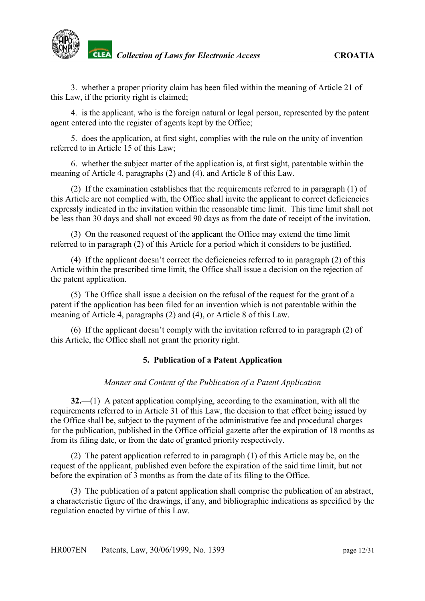3. whether a proper priority claim has been filed within the meaning of Article 21 of this Law, if the priority right is claimed;

4. is the applicant, who is the foreign natural or legal person, represented by the patent agent entered into the register of agents kept by the Office;

5. does the application, at first sight, complies with the rule on the unity of invention referred to in Article 15 of this Law;

6. whether the subject matter of the application is, at first sight, patentable within the meaning of Article 4, paragraphs (2) and (4), and Article 8 of this Law.

(2) If the examination establishes that the requirements referred to in paragraph (1) of this Article are not complied with, the Office shall invite the applicant to correct deficiencies expressly indicated in the invitation within the reasonable time limit. This time limit shall not be less than 30 days and shall not exceed 90 days as from the date of receipt of the invitation.

(3) On the reasoned request of the applicant the Office may extend the time limit referred to in paragraph (2) of this Article for a period which it considers to be justified.

(4) If the applicant doesn't correct the deficiencies referred to in paragraph (2) of this Article within the prescribed time limit, the Office shall issue a decision on the rejection of the patent application.

(5) The Office shall issue a decision on the refusal of the request for the grant of a patent if the application has been filed for an invention which is not patentable within the meaning of Article 4, paragraphs (2) and (4), or Article 8 of this Law.

(6) If the applicant doesn't comply with the invitation referred to in paragraph (2) of this Article, the Office shall not grant the priority right.

### **5. Publication of a Patent Application**

#### *Manner and Content of the Publication of a Patent Application*

<span id="page-11-0"></span>**32.**—(1) A patent application complying, according to the examination, with all the requirements referred to in Article 31 of this Law, the decision to that effect being issued by the Office shall be, subject to the payment of the administrative fee and procedural charges for the publication, published in the Office official gazette after the expiration of 18 months as from its filing date, or from the date of granted priority respectively.

(2) The patent application referred to in paragraph (1) of this Article may be, on the request of the applicant, published even before the expiration of the said time limit, but not before the expiration of 3 months as from the date of its filing to the Office.

(3) The publication of a patent application shall comprise the publication of an abstract, a characteristic figure of the drawings, if any, and bibliographic indications as specified by the regulation enacted by virtue of this Law.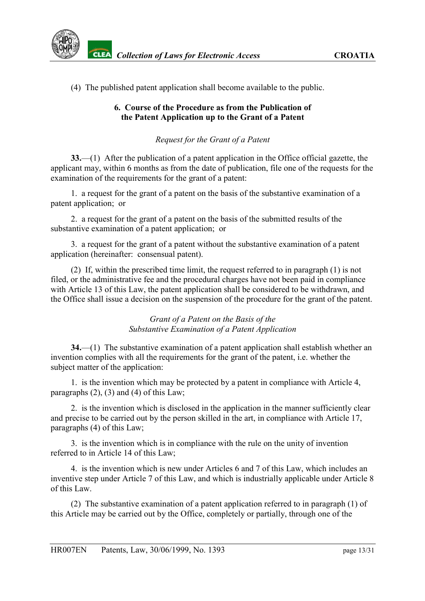(4) The published patent application shall become available to the public.

## **6. Course of the Procedure as from the Publication of the Patent Application up to the Grant of a Patent**

# *Request for the Grant of a Patent*

<span id="page-12-0"></span>**33.**—(1) After the publication of a patent application in the Office official gazette, the applicant may, within 6 months as from the date of publication, file one of the requests for the examination of the requirements for the grant of a patent:

1. a request for the grant of a patent on the basis of the substantive examination of a patent application; or

2. a request for the grant of a patent on the basis of the submitted results of the substantive examination of a patent application; or

3. a request for the grant of a patent without the substantive examination of a patent application (hereinafter: consensual patent).

(2) If, within the prescribed time limit, the request referred to in paragraph (1) is not filed, or the administrative fee and the procedural charges have not been paid in compliance with Article 13 of this Law, the patent application shall be considered to be withdrawn, and the Office shall issue a decision on the suspension of the procedure for the grant of the patent.

### *Grant of a Patent on the Basis of the Substantive Examination of a Patent Application*

<span id="page-12-1"></span>**34.**—(1) The substantive examination of a patent application shall establish whether an invention complies with all the requirements for the grant of the patent, i.e. whether the subject matter of the application:

1. is the invention which may be protected by a patent in compliance with Article 4, paragraphs  $(2)$ ,  $(3)$  and  $(4)$  of this Law;

2. is the invention which is disclosed in the application in the manner sufficiently clear and precise to be carried out by the person skilled in the art, in compliance with Article 17, paragraphs (4) of this Law;

3. is the invention which is in compliance with the rule on the unity of invention referred to in Article 14 of this Law;

4. is the invention which is new under Articles 6 and 7 of this Law, which includes an inventive step under Article 7 of this Law, and which is industrially applicable under Article 8 of this Law.

(2) The substantive examination of a patent application referred to in paragraph (1) of this Article may be carried out by the Office, completely or partially, through one of the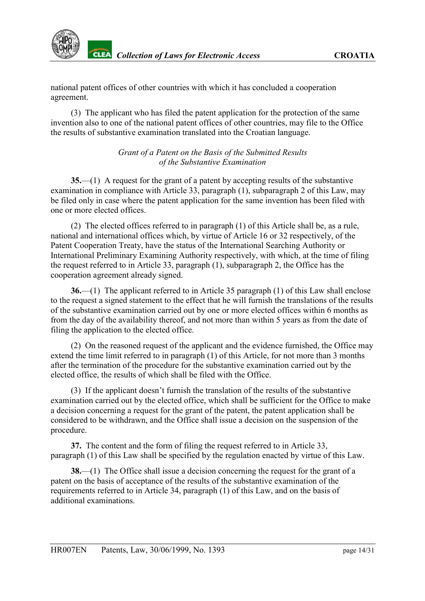national patent offices of other countries with which it has concluded a cooperation agreement.

(3) The applicant who has filed the patent application for the protection of the same invention also to one of the national patent offices of other countries, may file to the Office the results of substantive examination translated into the Croatian language.

> *Grant of a Patent on the Basis of the Submitted Results of the Substantive Examination*

<span id="page-13-0"></span>**35.**—(1) A request for the grant of a patent by accepting results of the substantive examination in compliance with Article 33, paragraph (1), subparagraph 2 of this Law, may be filed only in case where the patent application for the same invention has been filed with one or more elected offices.

(2) The elected offices referred to in paragraph (1) of this Article shall be, as a rule, national and international offices which, by virtue of Article 16 or 32 respectively, of the Patent Cooperation Treaty, have the status of the International Searching Authority or International Preliminary Examining Authority respectively, with which, at the time of filing the request referred to in Article 33, paragraph (1), subparagraph 2, the Office has the cooperation agreement already signed.

**36.**—(1) The applicant referred to in Article 35 paragraph (1) of this Law shall enclose to the request a signed statement to the effect that he will furnish the translations of the results of the substantive examination carried out by one or more elected offices within 6 months as from the day of the availability thereof, and not more than within 5 years as from the date of filing the application to the elected office.

(2) On the reasoned request of the applicant and the evidence furnished, the Office may extend the time limit referred to in paragraph (1) of this Article, for not more than 3 months after the termination of the procedure for the substantive examination carried out by the elected office, the results of which shall be filed with the Office.

(3) If the applicant doesn't furnish the translation of the results of the substantive examination carried out by the elected office, which shall be sufficient for the Office to make a decision concerning a request for the grant of the patent, the patent application shall be considered to be withdrawn, and the Office shall issue a decision on the suspension of the procedure.

**37.** The content and the form of filing the request referred to in Article 33, paragraph (1) of this Law shall be specified by the regulation enacted by virtue of this Law.

**38.**—(1) The Office shall issue a decision concerning the request for the grant of a patent on the basis of acceptance of the results of the substantive examination of the requirements referred to in Article 34, paragraph (1) of this Law, and on the basis of additional examinations.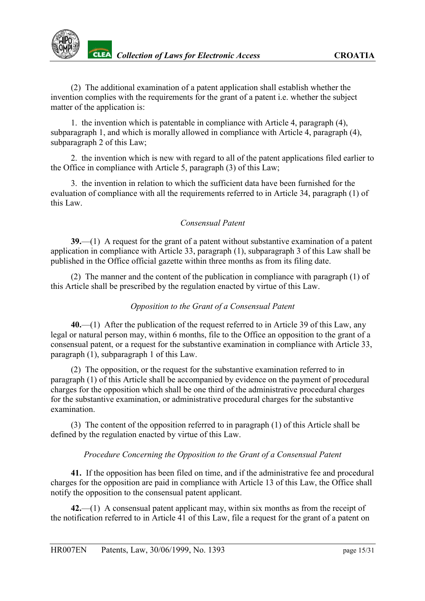(2) The additional examination of a patent application shall establish whether the invention complies with the requirements for the grant of a patent i.e. whether the subject matter of the application is:

1. the invention which is patentable in compliance with Article 4, paragraph (4), subparagraph 1, and which is morally allowed in compliance with Article 4, paragraph (4), subparagraph 2 of this Law;

2. the invention which is new with regard to all of the patent applications filed earlier to the Office in compliance with Article 5, paragraph (3) of this Law;

3. the invention in relation to which the sufficient data have been furnished for the evaluation of compliance with all the requirements referred to in Article 34, paragraph (1) of this Law.

## *Consensual Patent*

<span id="page-14-0"></span>**39.**—(1) A request for the grant of a patent without substantive examination of a patent application in compliance with Article 33, paragraph (1), subparagraph 3 of this Law shall be published in the Office official gazette within three months as from its filing date.

(2) The manner and the content of the publication in compliance with paragraph (1) of this Article shall be prescribed by the regulation enacted by virtue of this Law.

### *Opposition to the Grant of a Consensual Patent*

<span id="page-14-1"></span>**40.**—(1) After the publication of the request referred to in Article 39 of this Law, any legal or natural person may, within 6 months, file to the Office an opposition to the grant of a consensual patent, or a request for the substantive examination in compliance with Article 33, paragraph (1), subparagraph 1 of this Law.

(2) The opposition, or the request for the substantive examination referred to in paragraph (1) of this Article shall be accompanied by evidence on the payment of procedural charges for the opposition which shall be one third of the administrative procedural charges for the substantive examination, or administrative procedural charges for the substantive examination.

(3) The content of the opposition referred to in paragraph (1) of this Article shall be defined by the regulation enacted by virtue of this Law.

### *Procedure Concerning the Opposition to the Grant of a Consensual Patent*

<span id="page-14-2"></span>**41.** If the opposition has been filed on time, and if the administrative fee and procedural charges for the opposition are paid in compliance with Article 13 of this Law, the Office shall notify the opposition to the consensual patent applicant.

**42.**—(1) A consensual patent applicant may, within six months as from the receipt of the notification referred to in Article 41 of this Law, file a request for the grant of a patent on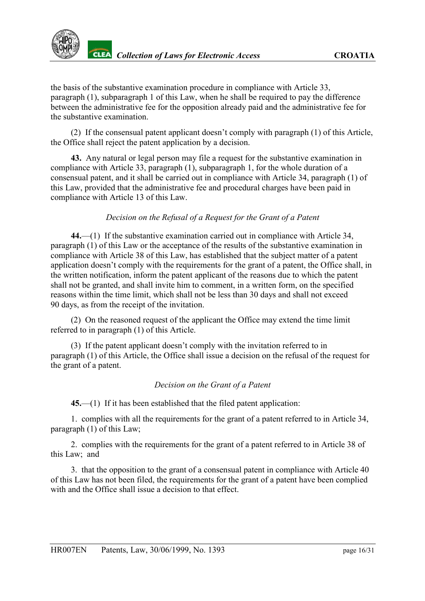the basis of the substantive examination procedure in compliance with Article 33, paragraph (1), subparagraph 1 of this Law, when he shall be required to pay the difference between the administrative fee for the opposition already paid and the administrative fee for the substantive examination.

(2) If the consensual patent applicant doesn't comply with paragraph (1) of this Article, the Office shall reject the patent application by a decision.

**43.** Any natural or legal person may file a request for the substantive examination in compliance with Article 33, paragraph (1), subparagraph 1, for the whole duration of a consensual patent, and it shall be carried out in compliance with Article 34, paragraph (1) of this Law, provided that the administrative fee and procedural charges have been paid in compliance with Article 13 of this Law.

### *Decision on the Refusal of a Request for the Grant of a Patent*

<span id="page-15-0"></span>**44.**—(1) If the substantive examination carried out in compliance with Article 34, paragraph (1) of this Law or the acceptance of the results of the substantive examination in compliance with Article 38 of this Law, has established that the subject matter of a patent application doesn't comply with the requirements for the grant of a patent, the Office shall, in the written notification, inform the patent applicant of the reasons due to which the patent shall not be granted, and shall invite him to comment, in a written form, on the specified reasons within the time limit, which shall not be less than 30 days and shall not exceed 90 days, as from the receipt of the invitation.

(2) On the reasoned request of the applicant the Office may extend the time limit referred to in paragraph (1) of this Article.

(3) If the patent applicant doesn't comply with the invitation referred to in paragraph (1) of this Article, the Office shall issue a decision on the refusal of the request for the grant of a patent.

#### *Decision on the Grant of a Patent*

<span id="page-15-1"></span>**45.**—(1) If it has been established that the filed patent application:

1. complies with all the requirements for the grant of a patent referred to in Article 34, paragraph (1) of this Law;

2. complies with the requirements for the grant of a patent referred to in Article 38 of this Law; and

3. that the opposition to the grant of a consensual patent in compliance with Article 40 of this Law has not been filed, the requirements for the grant of a patent have been complied with and the Office shall issue a decision to that effect.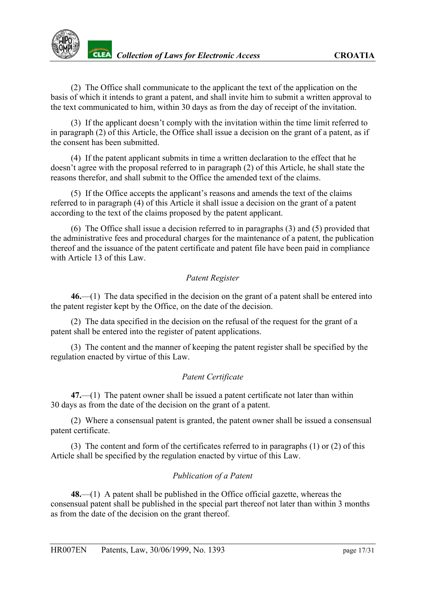(2) The Office shall communicate to the applicant the text of the application on the basis of which it intends to grant a patent, and shall invite him to submit a written approval to the text communicated to him, within 30 days as from the day of receipt of the invitation.

(3) If the applicant doesn't comply with the invitation within the time limit referred to in paragraph (2) of this Article, the Office shall issue a decision on the grant of a patent, as if the consent has been submitted.

(4) If the patent applicant submits in time a written declaration to the effect that he doesn't agree with the proposal referred to in paragraph (2) of this Article, he shall state the reasons therefor, and shall submit to the Office the amended text of the claims.

(5) If the Office accepts the applicant's reasons and amends the text of the claims referred to in paragraph (4) of this Article it shall issue a decision on the grant of a patent according to the text of the claims proposed by the patent applicant.

(6) The Office shall issue a decision referred to in paragraphs (3) and (5) provided that the administrative fees and procedural charges for the maintenance of a patent, the publication thereof and the issuance of the patent certificate and patent file have been paid in compliance with Article 13 of this Law.

### *Patent Register*

<span id="page-16-0"></span>**46.**—(1) The data specified in the decision on the grant of a patent shall be entered into the patent register kept by the Office, on the date of the decision.

(2) The data specified in the decision on the refusal of the request for the grant of a patent shall be entered into the register of patent applications.

(3) The content and the manner of keeping the patent register shall be specified by the regulation enacted by virtue of this Law.

### *Patent Certificate*

<span id="page-16-1"></span>**47.**—(1) The patent owner shall be issued a patent certificate not later than within 30 days as from the date of the decision on the grant of a patent.

(2) Where a consensual patent is granted, the patent owner shall be issued a consensual patent certificate.

(3) The content and form of the certificates referred to in paragraphs (1) or (2) of this Article shall be specified by the regulation enacted by virtue of this Law.

### *Publication of a Patent*

<span id="page-16-2"></span>**48.**—(1) A patent shall be published in the Office official gazette, whereas the consensual patent shall be published in the special part thereof not later than within 3 months as from the date of the decision on the grant thereof.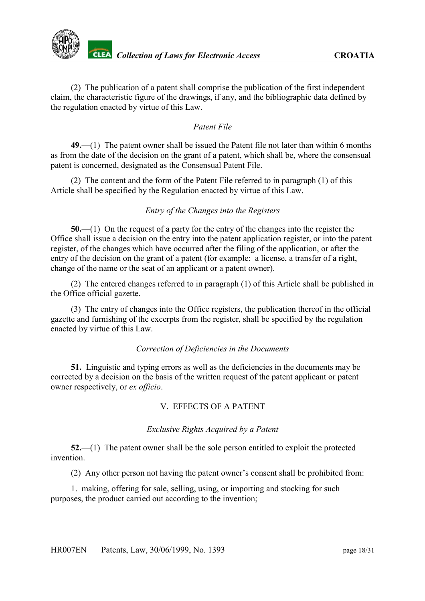

(2) The publication of a patent shall comprise the publication of the first independent claim, the characteristic figure of the drawings, if any, and the bibliographic data defined by the regulation enacted by virtue of this Law.

### *Patent File*

<span id="page-17-0"></span>**49.**—(1) The patent owner shall be issued the Patent file not later than within 6 months as from the date of the decision on the grant of a patent, which shall be, where the consensual patent is concerned, designated as the Consensual Patent File.

(2) The content and the form of the Patent File referred to in paragraph (1) of this Article shall be specified by the Regulation enacted by virtue of this Law.

### *Entry of the Changes into the Registers*

<span id="page-17-1"></span>**50.**—(1) On the request of a party for the entry of the changes into the register the Office shall issue a decision on the entry into the patent application register, or into the patent register, of the changes which have occurred after the filing of the application, or after the entry of the decision on the grant of a patent (for example: a license, a transfer of a right, change of the name or the seat of an applicant or a patent owner).

(2) The entered changes referred to in paragraph (1) of this Article shall be published in the Office official gazette.

(3) The entry of changes into the Office registers, the publication thereof in the official gazette and furnishing of the excerpts from the register, shall be specified by the regulation enacted by virtue of this Law.

#### *Correction of Deficiencies in the Documents*

<span id="page-17-2"></span>**51.** Linguistic and typing errors as well as the deficiencies in the documents may be corrected by a decision on the basis of the written request of the patent applicant or patent owner respectively, or *ex officio*.

#### V. EFFECTS OF A PATENT

#### *Exclusive Rights Acquired by a Patent*

<span id="page-17-3"></span>**52.**—(1) The patent owner shall be the sole person entitled to exploit the protected invention.

(2) Any other person not having the patent owner's consent shall be prohibited from:

1. making, offering for sale, selling, using, or importing and stocking for such purposes, the product carried out according to the invention;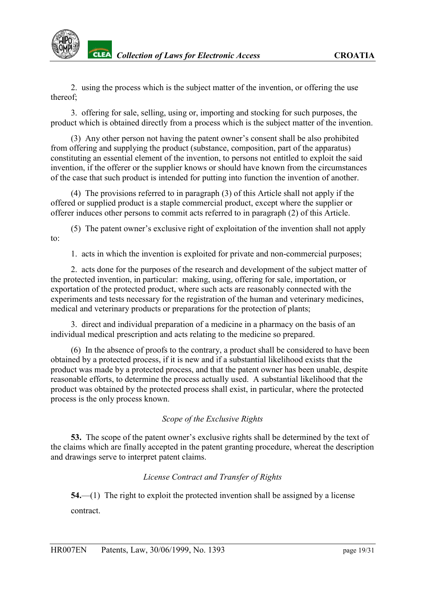

2. using the process which is the subject matter of the invention, or offering the use thereof;

3. offering for sale, selling, using or, importing and stocking for such purposes, the product which is obtained directly from a process which is the subject matter of the invention.

(3) Any other person not having the patent owner's consent shall be also prohibited from offering and supplying the product (substance, composition, part of the apparatus) constituting an essential element of the invention, to persons not entitled to exploit the said invention, if the offerer or the supplier knows or should have known from the circumstances of the case that such product is intended for putting into function the invention of another.

(4) The provisions referred to in paragraph (3) of this Article shall not apply if the offered or supplied product is a staple commercial product, except where the supplier or offerer induces other persons to commit acts referred to in paragraph (2) of this Article.

(5) The patent owner's exclusive right of exploitation of the invention shall not apply to:

1. acts in which the invention is exploited for private and non-commercial purposes;

2. acts done for the purposes of the research and development of the subject matter of the protected invention, in particular: making, using, offering for sale, importation, or exportation of the protected product, where such acts are reasonably connected with the experiments and tests necessary for the registration of the human and veterinary medicines, medical and veterinary products or preparations for the protection of plants;

3. direct and individual preparation of a medicine in a pharmacy on the basis of an individual medical prescription and acts relating to the medicine so prepared.

(6) In the absence of proofs to the contrary, a product shall be considered to have been obtained by a protected process, if it is new and if a substantial likelihood exists that the product was made by a protected process, and that the patent owner has been unable, despite reasonable efforts, to determine the process actually used. A substantial likelihood that the product was obtained by the protected process shall exist, in particular, where the protected process is the only process known.

### *Scope of the Exclusive Rights*

<span id="page-18-0"></span>**53.** The scope of the patent owner's exclusive rights shall be determined by the text of the claims which are finally accepted in the patent granting procedure, whereat the description and drawings serve to interpret patent claims.

### *License Contract and Transfer of Rights*

<span id="page-18-1"></span>**54.**—(1) The right to exploit the protected invention shall be assigned by a license contract.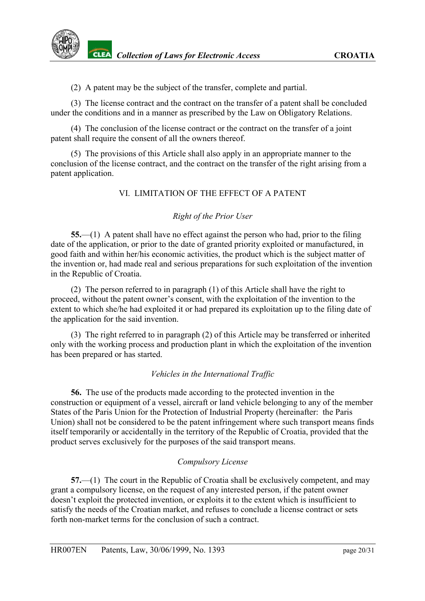(2) A patent may be the subject of the transfer, complete and partial.

(3) The license contract and the contract on the transfer of a patent shall be concluded under the conditions and in a manner as prescribed by the Law on Obligatory Relations.

(4) The conclusion of the license contract or the contract on the transfer of a joint patent shall require the consent of all the owners thereof.

(5) The provisions of this Article shall also apply in an appropriate manner to the conclusion of the license contract, and the contract on the transfer of the right arising from a patent application.

#### VI. LIMITATION OF THE EFFECT OF A PATENT

#### *Right of the Prior User*

<span id="page-19-0"></span>**55.**—(1) A patent shall have no effect against the person who had, prior to the filing date of the application, or prior to the date of granted priority exploited or manufactured, in good faith and within her/his economic activities, the product which is the subject matter of the invention or, had made real and serious preparations for such exploitation of the invention in the Republic of Croatia.

(2) The person referred to in paragraph (1) of this Article shall have the right to proceed, without the patent owner's consent, with the exploitation of the invention to the extent to which she/he had exploited it or had prepared its exploitation up to the filing date of the application for the said invention.

(3) The right referred to in paragraph (2) of this Article may be transferred or inherited only with the working process and production plant in which the exploitation of the invention has been prepared or has started.

#### *Vehicles in the International Traffic*

<span id="page-19-1"></span>**56.** The use of the products made according to the protected invention in the construction or equipment of a vessel, aircraft or land vehicle belonging to any of the member States of the Paris Union for the Protection of Industrial Property (hereinafter: the Paris Union) shall not be considered to be the patent infringement where such transport means finds itself temporarily or accidentally in the territory of the Republic of Croatia, provided that the product serves exclusively for the purposes of the said transport means.

#### *Compulsory License*

<span id="page-19-2"></span>**57.**—(1) The court in the Republic of Croatia shall be exclusively competent, and may grant a compulsory license, on the request of any interested person, if the patent owner doesn't exploit the protected invention, or exploits it to the extent which is insufficient to satisfy the needs of the Croatian market, and refuses to conclude a license contract or sets forth non-market terms for the conclusion of such a contract.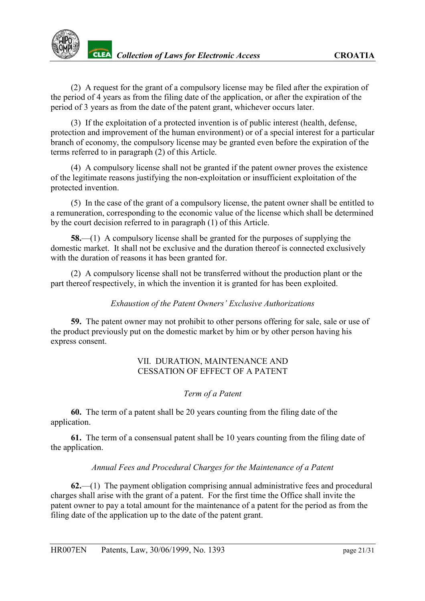(2) A request for the grant of a compulsory license may be filed after the expiration of the period of 4 years as from the filing date of the application, or after the expiration of the period of 3 years as from the date of the patent grant, whichever occurs later.

(3) If the exploitation of a protected invention is of public interest (health, defense, protection and improvement of the human environment) or of a special interest for a particular branch of economy, the compulsory license may be granted even before the expiration of the terms referred to in paragraph (2) of this Article.

(4) A compulsory license shall not be granted if the patent owner proves the existence of the legitimate reasons justifying the non-exploitation or insufficient exploitation of the protected invention.

(5) In the case of the grant of a compulsory license, the patent owner shall be entitled to a remuneration, corresponding to the economic value of the license which shall be determined by the court decision referred to in paragraph (1) of this Article.

**58.**—(1) A compulsory license shall be granted for the purposes of supplying the domestic market. It shall not be exclusive and the duration thereof is connected exclusively with the duration of reasons it has been granted for.

(2) A compulsory license shall not be transferred without the production plant or the part thereof respectively, in which the invention it is granted for has been exploited.

### *Exhaustion of the Patent Owners' Exclusive Authorizations*

<span id="page-20-0"></span>**59.** The patent owner may not prohibit to other persons offering for sale, sale or use of the product previously put on the domestic market by him or by other person having his express consent.

### VII. DURATION, MAINTENANCE AND CESSATION OF EFFECT OF A PATENT

### *Term of a Patent*

<span id="page-20-1"></span>**60.** The term of a patent shall be 20 years counting from the filing date of the application.

**61.** The term of a consensual patent shall be 10 years counting from the filing date of the application.

### *Annual Fees and Procedural Charges for the Maintenance of a Patent*

<span id="page-20-2"></span>**62.**—(1) The payment obligation comprising annual administrative fees and procedural charges shall arise with the grant of a patent. For the first time the Office shall invite the patent owner to pay a total amount for the maintenance of a patent for the period as from the filing date of the application up to the date of the patent grant.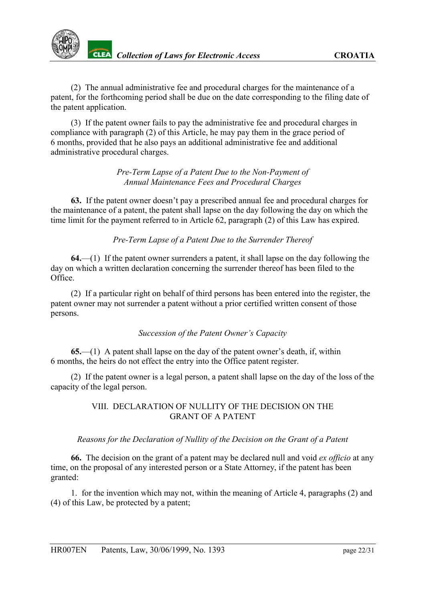(2) The annual administrative fee and procedural charges for the maintenance of a patent, for the forthcoming period shall be due on the date corresponding to the filing date of the patent application.

(3) If the patent owner fails to pay the administrative fee and procedural charges in compliance with paragraph (2) of this Article, he may pay them in the grace period of 6 months, provided that he also pays an additional administrative fee and additional administrative procedural charges.

> *Pre-Term Lapse of a Patent Due to the Non-Payment of Annual Maintenance Fees and Procedural Charges*

<span id="page-21-0"></span>**63.** If the patent owner doesn't pay a prescribed annual fee and procedural charges for the maintenance of a patent, the patent shall lapse on the day following the day on which the time limit for the payment referred to in Article 62, paragraph (2) of this Law has expired.

*Pre-Term Lapse of a Patent Due to the Surrender Thereof*

<span id="page-21-1"></span>**64.**—(1) If the patent owner surrenders a patent, it shall lapse on the day following the day on which a written declaration concerning the surrender thereof has been filed to the Office.

(2) If a particular right on behalf of third persons has been entered into the register, the patent owner may not surrender a patent without a prior certified written consent of those persons.

## *Succession of the Patent Owner's Capacity*

<span id="page-21-2"></span>**65.**—(1) A patent shall lapse on the day of the patent owner's death, if, within 6 months, the heirs do not effect the entry into the Office patent register.

(2) If the patent owner is a legal person, a patent shall lapse on the day of the loss of the capacity of the legal person.

## VIII. DECLARATION OF NULLITY OF THE DECISION ON THE GRANT OF A PATENT

## <span id="page-21-3"></span>*Reasons for the Declaration of Nullity of the Decision on the Grant of a Patent*

**66.** The decision on the grant of a patent may be declared null and void *ex officio* at any time, on the proposal of any interested person or a State Attorney, if the patent has been granted:

1. for the invention which may not, within the meaning of Article 4, paragraphs (2) and (4) of this Law, be protected by a patent;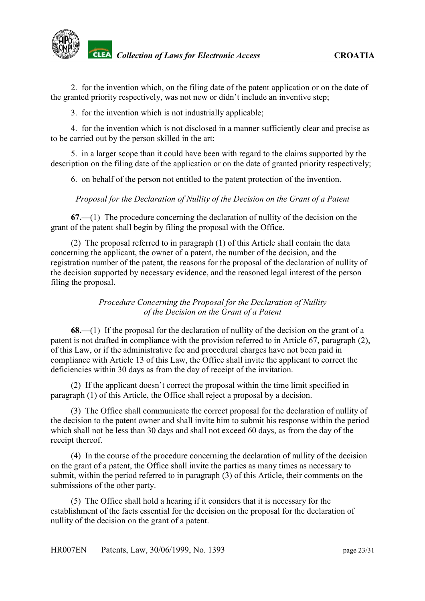2. for the invention which, on the filing date of the patent application or on the date of the granted priority respectively, was not new or didn't include an inventive step;

3. for the invention which is not industrially applicable;

4. for the invention which is not disclosed in a manner sufficiently clear and precise as to be carried out by the person skilled in the art;

5. in a larger scope than it could have been with regard to the claims supported by the description on the filing date of the application or on the date of granted priority respectively;

6. on behalf of the person not entitled to the patent protection of the invention.

<span id="page-22-0"></span>*Proposal for the Declaration of Nullity of the Decision on the Grant of a Patent*

**67.**—(1) The procedure concerning the declaration of nullity of the decision on the grant of the patent shall begin by filing the proposal with the Office.

(2) The proposal referred to in paragraph (1) of this Article shall contain the data concerning the applicant, the owner of a patent, the number of the decision, and the registration number of the patent, the reasons for the proposal of the declaration of nullity of the decision supported by necessary evidence, and the reasoned legal interest of the person filing the proposal.

### *Procedure Concerning the Proposal for the Declaration of Nullity of the Decision on the Grant of a Patent*

<span id="page-22-1"></span>**68.**—(1) If the proposal for the declaration of nullity of the decision on the grant of a patent is not drafted in compliance with the provision referred to in Article 67, paragraph (2), of this Law, or if the administrative fee and procedural charges have not been paid in compliance with Article 13 of this Law, the Office shall invite the applicant to correct the deficiencies within 30 days as from the day of receipt of the invitation.

(2) If the applicant doesn't correct the proposal within the time limit specified in paragraph (1) of this Article, the Office shall reject a proposal by a decision.

(3) The Office shall communicate the correct proposal for the declaration of nullity of the decision to the patent owner and shall invite him to submit his response within the period which shall not be less than 30 days and shall not exceed 60 days, as from the day of the receipt thereof.

(4) In the course of the procedure concerning the declaration of nullity of the decision on the grant of a patent, the Office shall invite the parties as many times as necessary to submit, within the period referred to in paragraph (3) of this Article, their comments on the submissions of the other party.

(5) The Office shall hold a hearing if it considers that it is necessary for the establishment of the facts essential for the decision on the proposal for the declaration of nullity of the decision on the grant of a patent.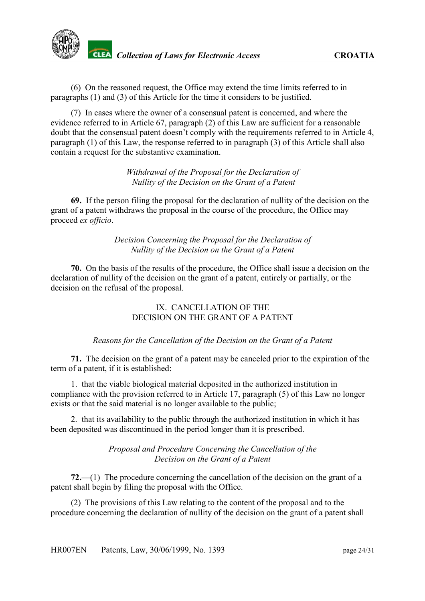(6) On the reasoned request, the Office may extend the time limits referred to in paragraphs (1) and (3) of this Article for the time it considers to be justified.

(7) In cases where the owner of a consensual patent is concerned, and where the evidence referred to in Article 67, paragraph (2) of this Law are sufficient for a reasonable doubt that the consensual patent doesn't comply with the requirements referred to in Article 4, paragraph (1) of this Law, the response referred to in paragraph (3) of this Article shall also contain a request for the substantive examination.

> *Withdrawal of the Proposal for the Declaration of Nullity of the Decision on the Grant of a Patent*

<span id="page-23-0"></span>**69.** If the person filing the proposal for the declaration of nullity of the decision on the grant of a patent withdraws the proposal in the course of the procedure, the Office may proceed *ex officio*.

> *Decision Concerning the Proposal for the Declaration of Nullity of the Decision on the Grant of a Patent*

<span id="page-23-1"></span>**70.** On the basis of the results of the procedure, the Office shall issue a decision on the declaration of nullity of the decision on the grant of a patent, entirely or partially, or the decision on the refusal of the proposal.

### IX. CANCELLATION OF THE DECISION ON THE GRANT OF A PATENT

#### *Reasons for the Cancellation of the Decision on the Grant of a Patent*

<span id="page-23-2"></span>**71.** The decision on the grant of a patent may be canceled prior to the expiration of the term of a patent, if it is established:

1. that the viable biological material deposited in the authorized institution in compliance with the provision referred to in Article 17, paragraph (5) of this Law no longer exists or that the said material is no longer available to the public;

2. that its availability to the public through the authorized institution in which it has been deposited was discontinued in the period longer than it is prescribed.

#### *Proposal and Procedure Concerning the Cancellation of the Decision on the Grant of a Patent*

<span id="page-23-3"></span>**72.**—(1) The procedure concerning the cancellation of the decision on the grant of a patent shall begin by filing the proposal with the Office.

(2) The provisions of this Law relating to the content of the proposal and to the procedure concerning the declaration of nullity of the decision on the grant of a patent shall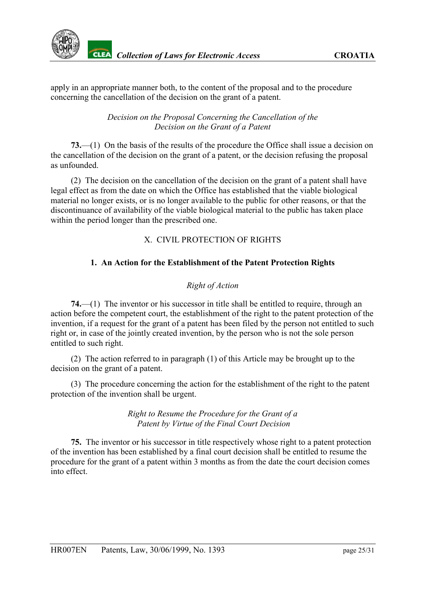apply in an appropriate manner both, to the content of the proposal and to the procedure concerning the cancellation of the decision on the grant of a patent.

> *Decision on the Proposal Concerning the Cancellation of the Decision on the Grant of a Patent*

<span id="page-24-0"></span>**73.**—(1) On the basis of the results of the procedure the Office shall issue a decision on the cancellation of the decision on the grant of a patent, or the decision refusing the proposal as unfounded.

(2) The decision on the cancellation of the decision on the grant of a patent shall have legal effect as from the date on which the Office has established that the viable biological material no longer exists, or is no longer available to the public for other reasons, or that the discontinuance of availability of the viable biological material to the public has taken place within the period longer than the prescribed one.

## X. CIVIL PROTECTION OF RIGHTS

### **1. An Action for the Establishment of the Patent Protection Rights**

### *Right of Action*

<span id="page-24-1"></span>**74.**—(1) The inventor or his successor in title shall be entitled to require, through an action before the competent court, the establishment of the right to the patent protection of the invention, if a request for the grant of a patent has been filed by the person not entitled to such right or, in case of the jointly created invention, by the person who is not the sole person entitled to such right.

(2) The action referred to in paragraph (1) of this Article may be brought up to the decision on the grant of a patent.

(3) The procedure concerning the action for the establishment of the right to the patent protection of the invention shall be urgent.

> *Right to Resume the Procedure for the Grant of a Patent by Virtue of the Final Court Decision*

<span id="page-24-2"></span>**75.** The inventor or his successor in title respectively whose right to a patent protection of the invention has been established by a final court decision shall be entitled to resume the procedure for the grant of a patent within 3 months as from the date the court decision comes into effect.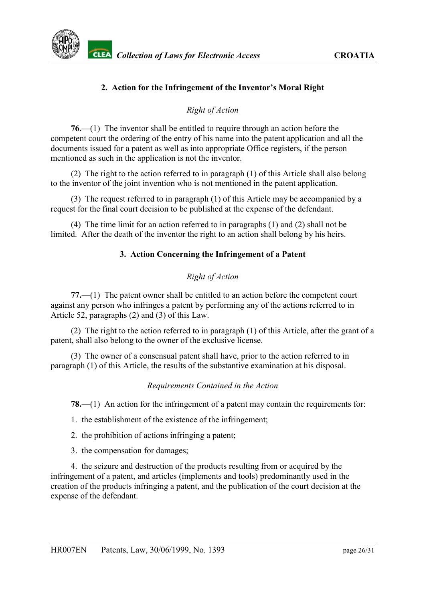## **2. Action for the Infringement of the Inventor's Moral Right**

### *Right of Action*

<span id="page-25-0"></span>**76.**—(1) The inventor shall be entitled to require through an action before the competent court the ordering of the entry of his name into the patent application and all the documents issued for a patent as well as into appropriate Office registers, if the person mentioned as such in the application is not the inventor.

(2) The right to the action referred to in paragraph (1) of this Article shall also belong to the inventor of the joint invention who is not mentioned in the patent application.

(3) The request referred to in paragraph (1) of this Article may be accompanied by a request for the final court decision to be published at the expense of the defendant.

(4) The time limit for an action referred to in paragraphs (1) and (2) shall not be limited. After the death of the inventor the right to an action shall belong by his heirs.

### **3. Action Concerning the Infringement of a Patent**

### *Right of Action*

<span id="page-25-1"></span>**77.**—(1) The patent owner shall be entitled to an action before the competent court against any person who infringes a patent by performing any of the actions referred to in Article 52, paragraphs (2) and (3) of this Law.

(2) The right to the action referred to in paragraph (1) of this Article, after the grant of a patent, shall also belong to the owner of the exclusive license.

(3) The owner of a consensual patent shall have, prior to the action referred to in paragraph (1) of this Article, the results of the substantive examination at his disposal.

#### *Requirements Contained in the Action*

<span id="page-25-2"></span>**78.**—(1) An action for the infringement of a patent may contain the requirements for:

- 1. the establishment of the existence of the infringement;
- 2. the prohibition of actions infringing a patent;
- 3. the compensation for damages;

4. the seizure and destruction of the products resulting from or acquired by the infringement of a patent, and articles (implements and tools) predominantly used in the creation of the products infringing a patent, and the publication of the court decision at the expense of the defendant.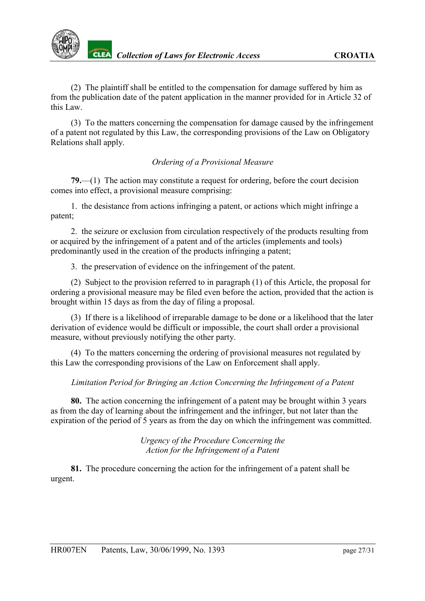

(2) The plaintiff shall be entitled to the compensation for damage suffered by him as from the publication date of the patent application in the manner provided for in Article 32 of this Law.

(3) To the matters concerning the compensation for damage caused by the infringement of a patent not regulated by this Law, the corresponding provisions of the Law on Obligatory Relations shall apply.

### *Ordering of a Provisional Measure*

<span id="page-26-0"></span>**79.**—(1) The action may constitute a request for ordering, before the court decision comes into effect, a provisional measure comprising:

1. the desistance from actions infringing a patent, or actions which might infringe a patent;

2. the seizure or exclusion from circulation respectively of the products resulting from or acquired by the infringement of a patent and of the articles (implements and tools) predominantly used in the creation of the products infringing a patent;

3. the preservation of evidence on the infringement of the patent.

(2) Subject to the provision referred to in paragraph (1) of this Article, the proposal for ordering a provisional measure may be filed even before the action, provided that the action is brought within 15 days as from the day of filing a proposal.

(3) If there is a likelihood of irreparable damage to be done or a likelihood that the later derivation of evidence would be difficult or impossible, the court shall order a provisional measure, without previously notifying the other party.

(4) To the matters concerning the ordering of provisional measures not regulated by this Law the corresponding provisions of the Law on Enforcement shall apply.

### <span id="page-26-1"></span>*Limitation Period for Bringing an Action Concerning the Infringement of a Patent*

**80.** The action concerning the infringement of a patent may be brought within 3 years as from the day of learning about the infringement and the infringer, but not later than the expiration of the period of 5 years as from the day on which the infringement was committed.

> *Urgency of the Procedure Concerning the Action for the Infringement of a Patent*

<span id="page-26-2"></span>**81.** The procedure concerning the action for the infringement of a patent shall be urgent.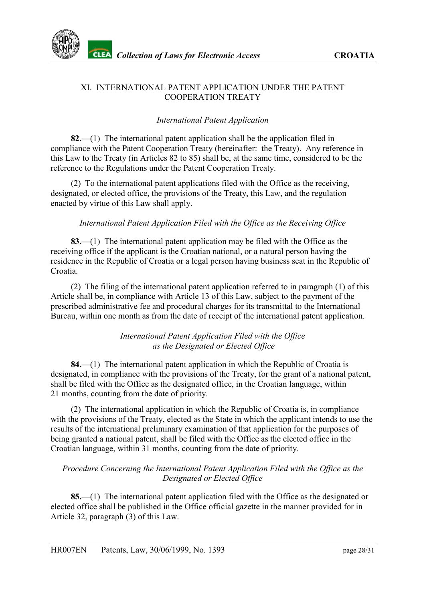

### XI. INTERNATIONAL PATENT APPLICATION UNDER THE PATENT COOPERATION TREATY

### *International Patent Application*

<span id="page-27-0"></span>**82.**—(1) The international patent application shall be the application filed in compliance with the Patent Cooperation Treaty (hereinafter: the Treaty). Any reference in this Law to the Treaty (in Articles 82 to 85) shall be, at the same time, considered to be the reference to the Regulations under the Patent Cooperation Treaty.

(2) To the international patent applications filed with the Office as the receiving, designated, or elected office, the provisions of the Treaty, this Law, and the regulation enacted by virtue of this Law shall apply.

### <span id="page-27-1"></span>*International Patent Application Filed with the Office as the Receiving Office*

**83.**—(1) The international patent application may be filed with the Office as the receiving office if the applicant is the Croatian national, or a natural person having the residence in the Republic of Croatia or a legal person having business seat in the Republic of Croatia.

(2) The filing of the international patent application referred to in paragraph (1) of this Article shall be, in compliance with Article 13 of this Law, subject to the payment of the prescribed administrative fee and procedural charges for its transmittal to the International Bureau, within one month as from the date of receipt of the international patent application.

#### *International Patent Application Filed with the Office as the Designated or Elected Office*

<span id="page-27-2"></span>**84.**—(1) The international patent application in which the Republic of Croatia is designated, in compliance with the provisions of the Treaty, for the grant of a national patent, shall be filed with the Office as the designated office, in the Croatian language, within 21 months, counting from the date of priority.

(2) The international application in which the Republic of Croatia is, in compliance with the provisions of the Treaty, elected as the State in which the applicant intends to use the results of the international preliminary examination of that application for the purposes of being granted a national patent, shall be filed with the Office as the elected office in the Croatian language, within 31 months, counting from the date of priority.

### *Procedure Concerning the International Patent Application Filed with the Office as the Designated or Elected Office*

<span id="page-27-3"></span>**85.**—(1) The international patent application filed with the Office as the designated or elected office shall be published in the Office official gazette in the manner provided for in Article 32, paragraph (3) of this Law.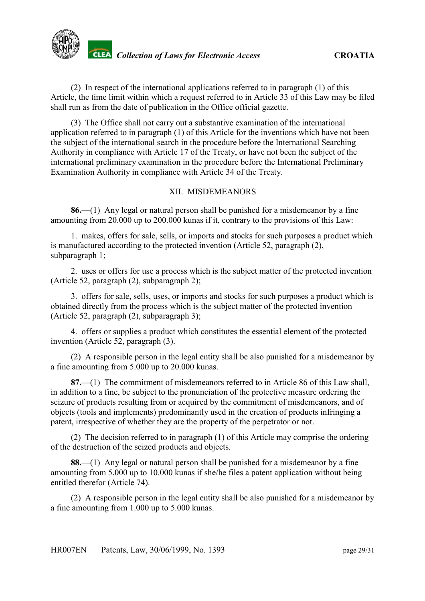(2) In respect of the international applications referred to in paragraph (1) of this Article, the time limit within which a request referred to in Article 33 of this Law may be filed shall run as from the date of publication in the Office official gazette.

(3) The Office shall not carry out a substantive examination of the international application referred to in paragraph (1) of this Article for the inventions which have not been the subject of the international search in the procedure before the International Searching Authority in compliance with Article 17 of the Treaty, or have not been the subject of the international preliminary examination in the procedure before the International Preliminary Examination Authority in compliance with Article 34 of the Treaty.

### XII. MISDEMEANORS

<span id="page-28-0"></span>**86.**—(1) Any legal or natural person shall be punished for a misdemeanor by a fine amounting from 20.000 up to 200.000 kunas if it, contrary to the provisions of this Law:

1. makes, offers for sale, sells, or imports and stocks for such purposes a product which is manufactured according to the protected invention (Article 52, paragraph (2), subparagraph 1;

2. uses or offers for use a process which is the subject matter of the protected invention (Article 52, paragraph (2), subparagraph 2);

3. offers for sale, sells, uses, or imports and stocks for such purposes a product which is obtained directly from the process which is the subject matter of the protected invention (Article 52, paragraph (2), subparagraph 3);

4. offers or supplies a product which constitutes the essential element of the protected invention (Article 52, paragraph (3).

(2) A responsible person in the legal entity shall be also punished for a misdemeanor by a fine amounting from 5.000 up to 20.000 kunas.

**87.**—(1) The commitment of misdemeanors referred to in Article 86 of this Law shall, in addition to a fine, be subject to the pronunciation of the protective measure ordering the seizure of products resulting from or acquired by the commitment of misdemeanors, and of objects (tools and implements) predominantly used in the creation of products infringing a patent, irrespective of whether they are the property of the perpetrator or not.

(2) The decision referred to in paragraph (1) of this Article may comprise the ordering of the destruction of the seized products and objects.

**88.**—(1) Any legal or natural person shall be punished for a misdemeanor by a fine amounting from 5.000 up to 10.000 kunas if she/he files a patent application without being entitled therefor (Article 74).

(2) A responsible person in the legal entity shall be also punished for a misdemeanor by a fine amounting from 1.000 up to 5.000 kunas.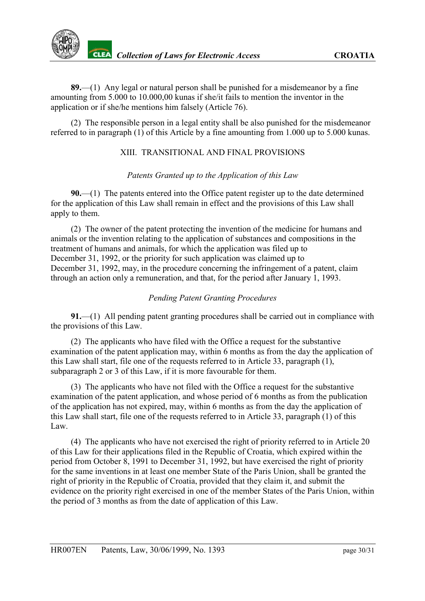**89.**—(1) Any legal or natural person shall be punished for a misdemeanor by a fine amounting from 5.000 to 10.000,00 kunas if she/it fails to mention the inventor in the application or if she/he mentions him falsely (Article 76).

(2) The responsible person in a legal entity shall be also punished for the misdemeanor referred to in paragraph (1) of this Article by a fine amounting from 1.000 up to 5.000 kunas.

### XIII. TRANSITIONAL AND FINAL PROVISIONS

## *Patents Granted up to the Application of this Law*

<span id="page-29-0"></span>**90.**—(1) The patents entered into the Office patent register up to the date determined for the application of this Law shall remain in effect and the provisions of this Law shall apply to them.

(2) The owner of the patent protecting the invention of the medicine for humans and animals or the invention relating to the application of substances and compositions in the treatment of humans and animals, for which the application was filed up to December 31, 1992, or the priority for such application was claimed up to December 31, 1992, may, in the procedure concerning the infringement of a patent, claim through an action only a remuneration, and that, for the period after January 1, 1993.

## *Pending Patent Granting Procedures*

<span id="page-29-1"></span>**91.**—(1) All pending patent granting procedures shall be carried out in compliance with the provisions of this Law.

(2) The applicants who have filed with the Office a request for the substantive examination of the patent application may, within 6 months as from the day the application of this Law shall start, file one of the requests referred to in Article 33, paragraph (1), subparagraph 2 or 3 of this Law, if it is more favourable for them.

(3) The applicants who have not filed with the Office a request for the substantive examination of the patent application, and whose period of 6 months as from the publication of the application has not expired, may, within 6 months as from the day the application of this Law shall start, file one of the requests referred to in Article 33, paragraph (1) of this Law.

(4) The applicants who have not exercised the right of priority referred to in Article 20 of this Law for their applications filed in the Republic of Croatia, which expired within the period from October 8, 1991 to December 31, 1992, but have exercised the right of priority for the same inventions in at least one member State of the Paris Union, shall be granted the right of priority in the Republic of Croatia, provided that they claim it, and submit the evidence on the priority right exercised in one of the member States of the Paris Union, within the period of 3 months as from the date of application of this Law.